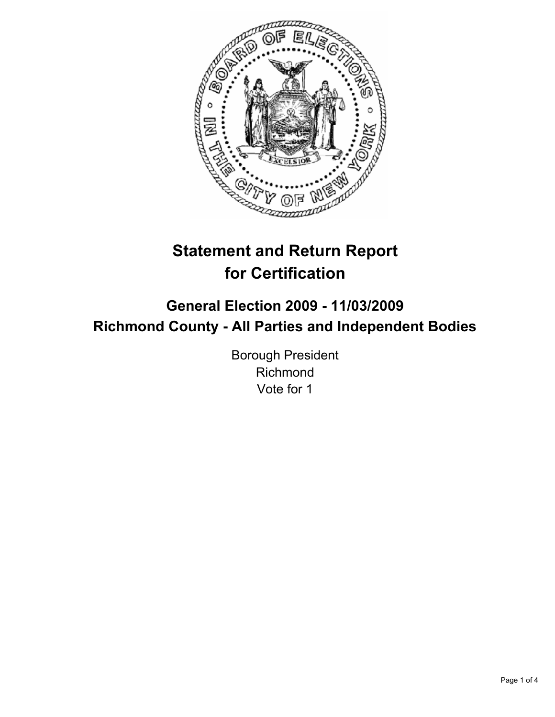

# **Statement and Return Report for Certification**

## **General Election 2009 - 11/03/2009 Richmond County - All Parties and Independent Bodies**

Borough President Richmond Vote for 1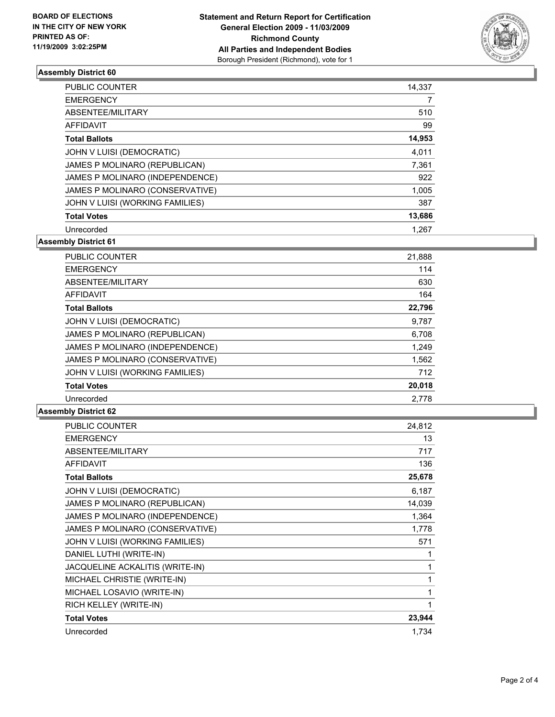

### **Assembly District 60**

| <b>PUBLIC COUNTER</b>           | 14,337 |
|---------------------------------|--------|
| <b>EMERGENCY</b>                | 7      |
| ABSENTEE/MILITARY               | 510    |
| AFFIDAVIT                       | 99     |
| <b>Total Ballots</b>            | 14,953 |
| JOHN V LUISI (DEMOCRATIC)       | 4,011  |
| JAMES P MOLINARO (REPUBLICAN)   | 7,361  |
| JAMES P MOLINARO (INDEPENDENCE) | 922    |
| JAMES P MOLINARO (CONSERVATIVE) | 1,005  |
| JOHN V LUISI (WORKING FAMILIES) | 387    |
| <b>Total Votes</b>              | 13,686 |
| Unrecorded                      | 1.267  |

**Assembly District 61**

| PUBLIC COUNTER                  | 21,888 |
|---------------------------------|--------|
| <b>EMERGENCY</b>                | 114    |
| ABSENTEE/MILITARY               | 630    |
| AFFIDAVIT                       | 164    |
| <b>Total Ballots</b>            | 22,796 |
| JOHN V LUISI (DEMOCRATIC)       | 9,787  |
| JAMES P MOLINARO (REPUBLICAN)   | 6,708  |
| JAMES P MOLINARO (INDEPENDENCE) | 1,249  |
| JAMES P MOLINARO (CONSERVATIVE) | 1,562  |
| JOHN V LUISI (WORKING FAMILIES) | 712    |
| <b>Total Votes</b>              | 20,018 |
| Unrecorded                      | 2,778  |

#### **Assembly District 62**

| <b>PUBLIC COUNTER</b>           | 24,812 |
|---------------------------------|--------|
| <b>EMERGENCY</b>                | 13     |
| ABSENTEE/MILITARY               | 717    |
| <b>AFFIDAVIT</b>                | 136    |
| <b>Total Ballots</b>            | 25,678 |
| JOHN V LUISI (DEMOCRATIC)       | 6,187  |
| JAMES P MOLINARO (REPUBLICAN)   | 14,039 |
| JAMES P MOLINARO (INDEPENDENCE) | 1,364  |
| JAMES P MOLINARO (CONSERVATIVE) | 1,778  |
| JOHN V LUISI (WORKING FAMILIES) | 571    |
| DANIEL LUTHI (WRITE-IN)         |        |
| JACQUELINE ACKALITIS (WRITE-IN) | 1      |
| MICHAEL CHRISTIE (WRITE-IN)     | 1      |
| MICHAEL LOSAVIO (WRITE-IN)      | 1      |
| RICH KELLEY (WRITE-IN)          | 1      |
| <b>Total Votes</b>              | 23,944 |
| Unrecorded                      | 1,734  |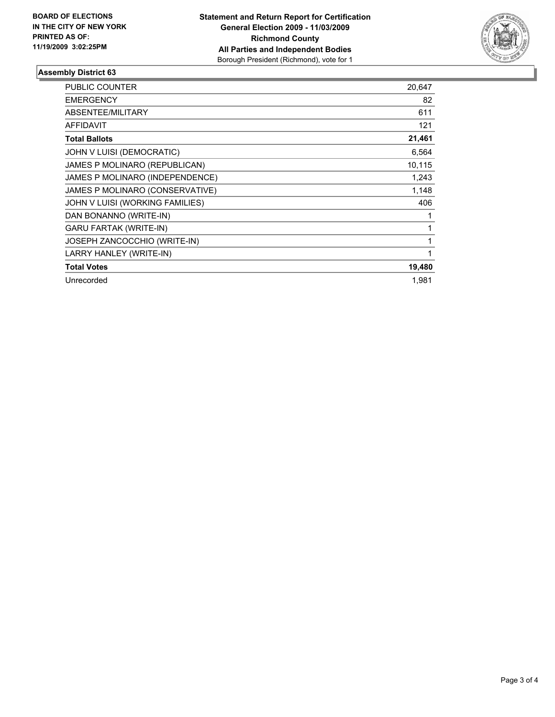

### **Assembly District 63**

| <b>PUBLIC COUNTER</b>               | 20,647 |
|-------------------------------------|--------|
| <b>EMERGENCY</b>                    | 82     |
| ABSENTEE/MILITARY                   | 611    |
| <b>AFFIDAVIT</b>                    | 121    |
| <b>Total Ballots</b>                | 21,461 |
| JOHN V LUISI (DEMOCRATIC)           | 6,564  |
| JAMES P MOLINARO (REPUBLICAN)       | 10,115 |
| JAMES P MOLINARO (INDEPENDENCE)     | 1,243  |
| JAMES P MOLINARO (CONSERVATIVE)     | 1,148  |
| JOHN V LUISI (WORKING FAMILIES)     | 406    |
| DAN BONANNO (WRITE-IN)              | 1      |
| <b>GARU FARTAK (WRITE-IN)</b>       | 1      |
| <b>JOSEPH ZANCOCCHIO (WRITE-IN)</b> | 1      |
| LARRY HANLEY (WRITE-IN)             | 1      |
| <b>Total Votes</b>                  | 19,480 |
| Unrecorded                          | 1.981  |